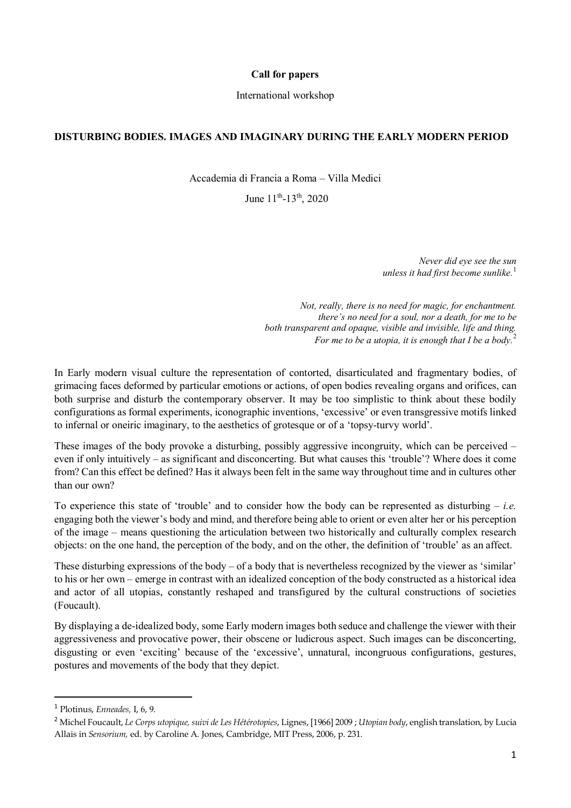## **Call for papers**

## International workshop

## **DISTURBING BODIES. IMAGES AND IMAGINARY DURING THE EARLY MODERN PERIOD**

Accademia di Francia a Roma – Villa Medici

June  $11^{th}$ -13<sup>th</sup>, 2020

*Never did eye see the sun unless it had first become sunlike.*<sup>[1](#page-0-0)</sup>

*Not, really, there is no need for magic, for enchantment. there's no need for a soul, nor a death, for me to be both transparent and opaque, visible and invisible, life and thing. For me to be a utopia, it is enough that I be a body.*<sup>[2](#page-0-1)</sup>

In Early modern visual culture the representation of contorted, disarticulated and fragmentary bodies, of grimacing faces deformed by particular emotions or actions, of open bodies revealing organs and orifices, can both surprise and disturb the contemporary observer. It may be too simplistic to think about these bodily configurations as formal experiments, iconographic inventions, 'excessive' or even transgressive motifs linked to infernal or oneiric imaginary, to the aesthetics of grotesque or of a 'topsy-turvy world'.

These images of the body provoke a disturbing, possibly aggressive incongruity, which can be perceived – even if only intuitively – as significant and disconcerting. But what causes this 'trouble'? Where does it come from? Can this effect be defined? Has it always been felt in the same way throughout time and in cultures other than our own?

To experience this state of 'trouble' and to consider how the body can be represented as disturbing – *i.e.* engaging both the viewer's body and mind, and therefore being able to orient or even alter her or his perception of the image – means questioning the articulation between two historically and culturally complex research objects: on the one hand, the perception of the body, and on the other, the definition of 'trouble' as an affect.

These disturbing expressions of the body – of a body that is nevertheless recognized by the viewer as 'similar' to his or her own – emerge in contrast with an idealized conception of the body constructed as a historical idea and actor of all utopias, constantly reshaped and transfigured by the cultural constructions of societies (Foucault).

By displaying a de-idealized body, some Early modern images both seduce and challenge the viewer with their aggressiveness and provocative power, their obscene or ludicrous aspect. Such images can be disconcerting, disgusting or even 'exciting' because of the 'excessive', unnatural, incongruous configurations, gestures, postures and movements of the body that they depict.

<span id="page-0-0"></span> <sup>1</sup> Plotinus, *Enneades,* I, 6, 9.

<span id="page-0-1"></span><sup>2</sup> Michel Foucault, *Le Corps utopique, suivi de Les Hétérotopies*, Lignes, [1966] 2009 ; *Utopian body*, english translation, by Lucia Allais in *Sensorium,* ed. by Caroline A. Jones, Cambridge, MIT Press, 2006, p. 231.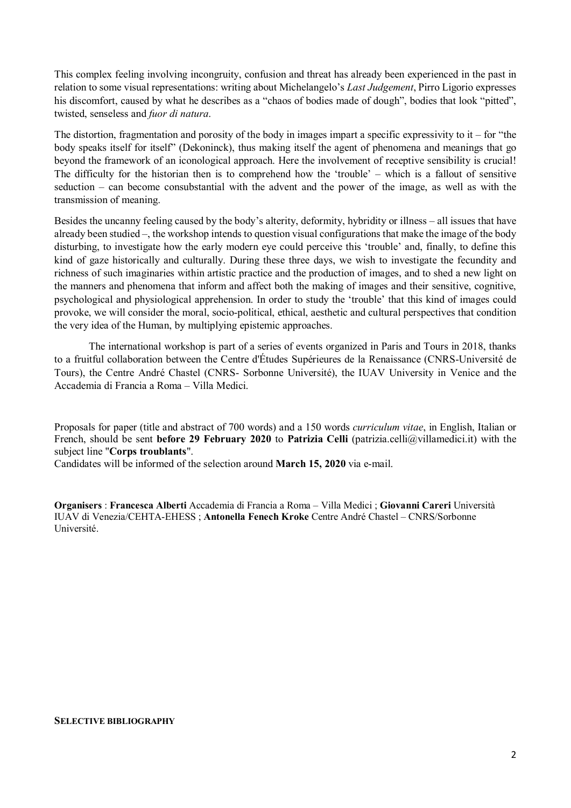This complex feeling involving incongruity, confusion and threat has already been experienced in the past in relation to some visual representations: writing about Michelangelo's *Last Judgement*, Pirro Ligorio expresses his discomfort, caused by what he describes as a "chaos of bodies made of dough", bodies that look "pitted", twisted, senseless and *fuor di natura*.

The distortion, fragmentation and porosity of the body in images impart a specific expressivity to it – for "the body speaks itself for itself" (Dekoninck), thus making itself the agent of phenomena and meanings that go beyond the framework of an iconological approach. Here the involvement of receptive sensibility is crucial! The difficulty for the historian then is to comprehend how the 'trouble' – which is a fallout of sensitive seduction – can become consubstantial with the advent and the power of the image, as well as with the transmission of meaning.

Besides the uncanny feeling caused by the body's alterity, deformity, hybridity or illness – all issues that have already been studied –, the workshop intends to question visual configurations that make the image of the body disturbing, to investigate how the early modern eye could perceive this 'trouble' and, finally, to define this kind of gaze historically and culturally. During these three days, we wish to investigate the fecundity and richness of such imaginaries within artistic practice and the production of images, and to shed a new light on the manners and phenomena that inform and affect both the making of images and their sensitive, cognitive, psychological and physiological apprehension. In order to study the 'trouble' that this kind of images could provoke, we will consider the moral, socio-political, ethical, aesthetic and cultural perspectives that condition the very idea of the Human, by multiplying epistemic approaches.

The international workshop is part of a series of events organized in Paris and Tours in 2018, thanks to a fruitful collaboration between the Centre d'Études Supérieures de la Renaissance (CNRS-Université de Tours), the Centre André Chastel (CNRS- Sorbonne Université), the IUAV University in Venice and the Accademia di Francia a Roma – Villa Medici.

Proposals for paper (title and abstract of 700 words) and a 150 words *curriculum vitae*, in English, Italian or French, should be sent **before 29 February 2020** to **Patrizia Celli** (patrizia.celli@villamedici.it) with the subject line "**Corps troublants**".

Candidates will be informed of the selection around **March 15, 2020** via e-mail.

**Organisers** : **Francesca Alberti** Accademia di Francia a Roma – Villa Medici ; **Giovanni Careri** Università IUAV di Venezia/CEHTA-EHESS ; **Antonella Fenech Kroke** Centre André Chastel – CNRS/Sorbonne Université.

## **SELECTIVE BIBLIOGRAPHY**